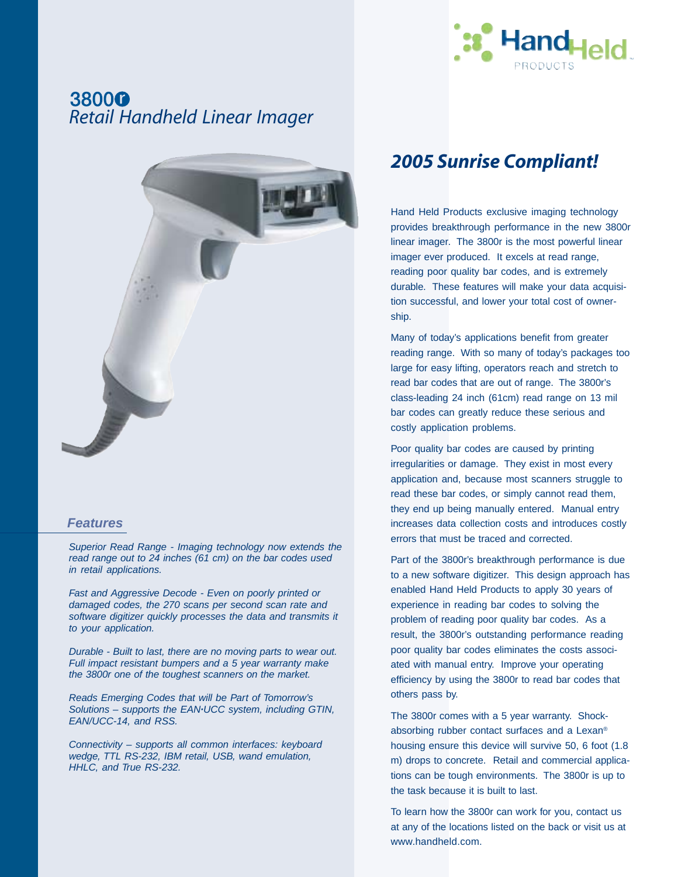

## 38000 *Retail Handheld Linear Imager*



### *Features*

*Superior Read Range - Imaging technology now extends the read range out to 24 inches (61 cm) on the bar codes used in retail applications.*

*Fast and Aggressive Decode - Even on poorly printed or damaged codes, the 270 scans per second scan rate and software digitizer quickly processes the data and transmits it to your application.*

*Durable - Built to last, there are no moving parts to wear out. Full impact resistant bumpers and a 5 year warranty make the 3800r one of the toughest scanners on the market.*

*Reads Emerging Codes that will be Part of Tomorrow's Solutions – supports the EAN·UCC system, including GTIN, EAN/UCC-14, and RSS.*

*Connectivity – supports all common interfaces: keyboard wedge, TTL RS-232, IBM retail, USB, wand emulation, HHLC, and True RS-232.*

## *2005 Sunrise Compliant!*

Hand Held Products exclusive imaging technology provides breakthrough performance in the new 3800r linear imager. The 3800r is the most powerful linear imager ever produced. It excels at read range, reading poor quality bar codes, and is extremely durable. These features will make your data acquisition successful, and lower your total cost of ownership.

Many of today's applications benefit from greater reading range. With so many of today's packages too large for easy lifting, operators reach and stretch to read bar codes that are out of range. The 3800r's class-leading 24 inch (61cm) read range on 13 mil bar codes can greatly reduce these serious and costly application problems.

Poor quality bar codes are caused by printing irregularities or damage. They exist in most every application and, because most scanners struggle to read these bar codes, or simply cannot read them, they end up being manually entered. Manual entry increases data collection costs and introduces costly errors that must be traced and corrected.

Part of the 3800r's breakthrough performance is due to a new software digitizer. This design approach has enabled Hand Held Products to apply 30 years of experience in reading bar codes to solving the problem of reading poor quality bar codes. As a result, the 3800r's outstanding performance reading poor quality bar codes eliminates the costs associated with manual entry. Improve your operating efficiency by using the 3800r to read bar codes that others pass by.

The 3800r comes with a 5 year warranty. Shockabsorbing rubber contact surfaces and a Lexan® housing ensure this device will survive 50, 6 foot (1.8 m) drops to concrete. Retail and commercial applications can be tough environments. The 3800r is up to the task because it is built to last.

To learn how the 3800r can work for you, contact us at any of the locations listed on the back or visit us at www.handheld.com.